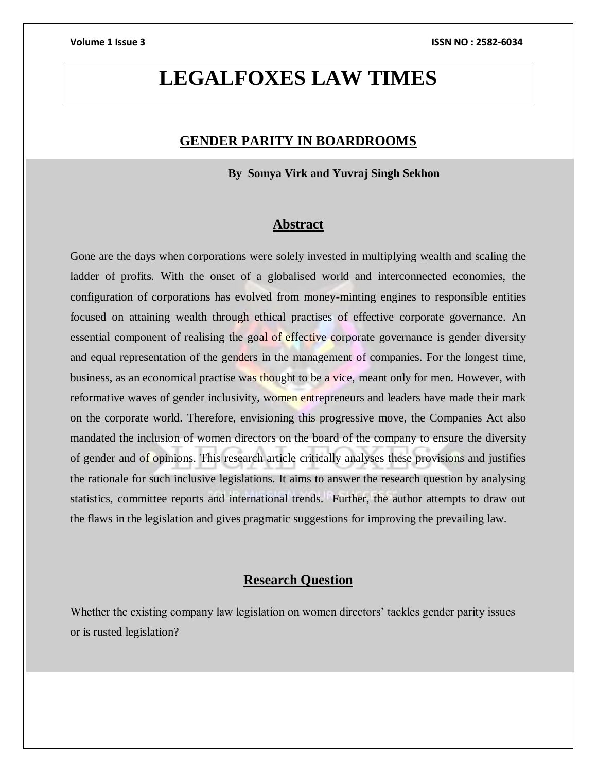# **LEGALFOXES LAW TIMES**

## **GENDER PARITY IN BOARDROOMS**

 **By Somya Virk and Yuvraj Singh Sekhon**

#### **Abstract**

Gone are the days when corporations were solely invested in multiplying wealth and scaling the ladder of profits. With the onset of a globalised world and interconnected economies, the configuration of corporations has evolved from money-minting engines to responsible entities focused on attaining wealth through ethical practises of effective corporate governance. An essential component of realising the goal of effective corporate governance is gender diversity and equal representation of the genders in the management of companies. For the longest time, business, as an economical practise was thought to be a vice, meant only for men. However, with reformative waves of gender inclusivity, women entrepreneurs and leaders have made their mark on the corporate world. Therefore, envisioning this progressive move, the Companies Act also mandated the inclusion of women directors on the board of the company to ensure the diversity of gender and of opinions. This research article critically analyses these provisions and justifies the rationale for such inclusive legislations. It aims to answer the research question by analysing statistics, committee reports and international trends. Further, the author attempts to draw out the flaws in the legislation and gives pragmatic suggestions for improving the prevailing law.

## **Research Question**

Whether the existing company law legislation on women directors' tackles gender parity issues or is rusted legislation?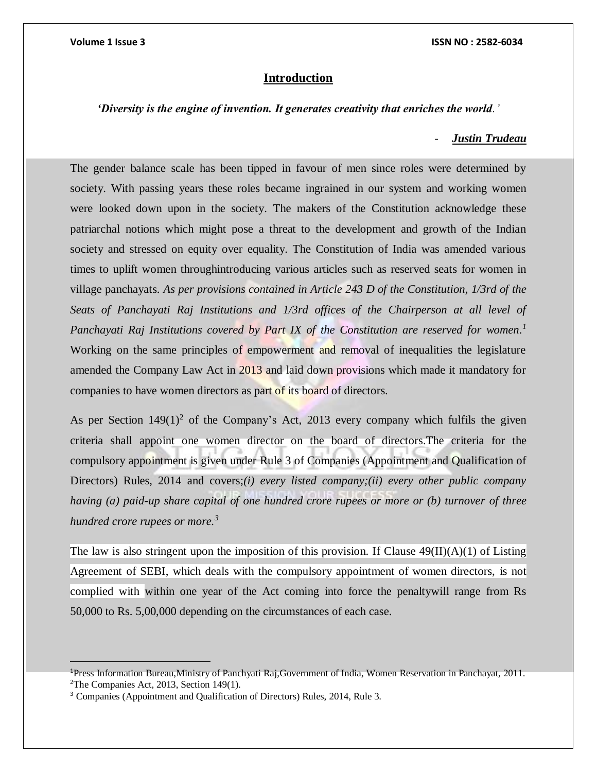#### **Introduction**

#### *'Diversity is the engine of invention. It generates creativity that enriches the world.'*

#### *- Justin Trudeau*

The gender balance scale has been tipped in favour of men since roles were determined by society. With passing years these roles became ingrained in our system and working women were looked down upon in the society. The makers of the Constitution acknowledge these patriarchal notions which might pose a threat to the development and growth of the Indian society and stressed on equity over equality. The Constitution of India was amended various times to uplift women throughintroducing various articles such as reserved seats for women in village panchayats. *As per provisions contained in Article 243 D of the Constitution, 1/3rd of the Seats of Panchayati Raj Institutions and 1/3rd offices of the Chairperson at all level of Panchayati Raj Institutions covered by Part IX of the Constitution are reserved for women. 1* Working on the same principles of empowerment and removal of inequalities the legislature amended the Company Law Act in 2013 and laid down provisions which made it mandatory for companies to have women directors as part of its board of directors.

As per Section  $149(1)^2$  of the Company's Act, 2013 every company which fulfils the given criteria shall appoint one women director on the board of directors.The criteria for the compulsory appointment is given under Rule 3 of Companies (Appointment and Qualification of Directors) Rules, 2014 and covers;*(i) every listed company;(ii) every other public company having (a) paid-up share capital of one hundred crore rupees or more or (b) turnover of three hundred crore rupees or more.<sup>3</sup>*

The law is also stringent upon the imposition of this provision. If Clause  $49(II)(A)(1)$  of Listing Agreement of SEBI, which deals with the compulsory appointment of women directors, is not complied with within one year of the Act coming into force the penaltywill range from Rs 50,000 to Rs. 5,00,000 depending on the circumstances of each case.

<sup>1</sup>Press Information Bureau,Ministry of Panchyati Raj,Government of India, Women Reservation in Panchayat, 2011. <sup>2</sup>The Companies Act, 2013, Section 149(1).

<sup>3</sup> Companies (Appointment and Qualification of Directors) Rules, 2014, Rule 3.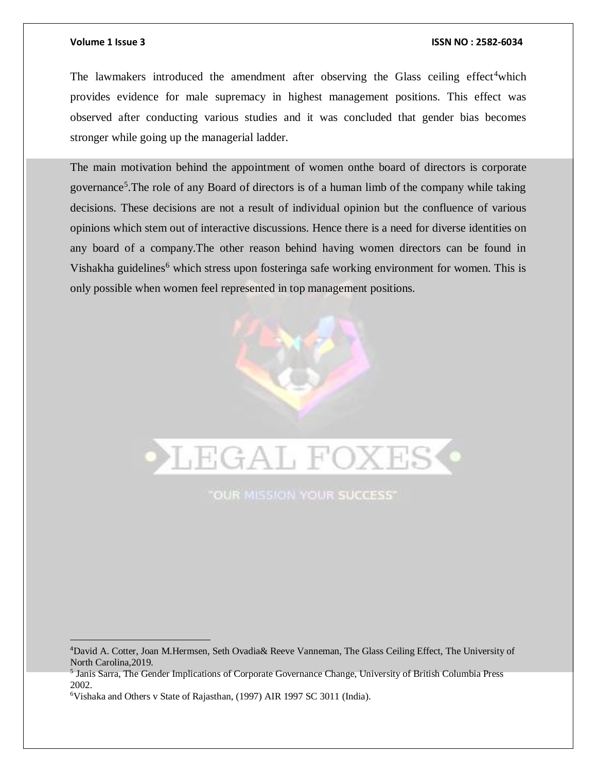#### **Volume 1 Issue 3 ISSN NO : 2582-6034**

The lawmakers introduced the amendment after observing the Glass ceiling effect<sup>4</sup>which provides evidence for male supremacy in highest management positions. This effect was observed after conducting various studies and it was concluded that gender bias becomes stronger while going up the managerial ladder.

The main motivation behind the appointment of women onthe board of directors is corporate governance<sup>5</sup>. The role of any Board of directors is of a human limb of the company while taking decisions. These decisions are not a result of individual opinion but the confluence of various opinions which stem out of interactive discussions. Hence there is a need for diverse identities on any board of a company.The other reason behind having women directors can be found in Vishakha guidelines<sup>6</sup> which stress upon fosteringa safe working environment for women. This is only possible when women feel represented in top management positions.

# **LEGAL FOXES**

**"OUR MISSION YOUR SUCCESS"** 

<sup>4</sup>David A. Cotter, Joan M.Hermsen, Seth Ovadia& Reeve Vanneman, The Glass Ceiling Effect, The University of North Carolina,2019.

<sup>5</sup> Janis Sarra, The Gender Implications of Corporate Governance Change, University of British Columbia Press 2002.

<sup>6</sup>Vishaka and Others v State of Rajasthan, (1997) AIR 1997 SC 3011 (India).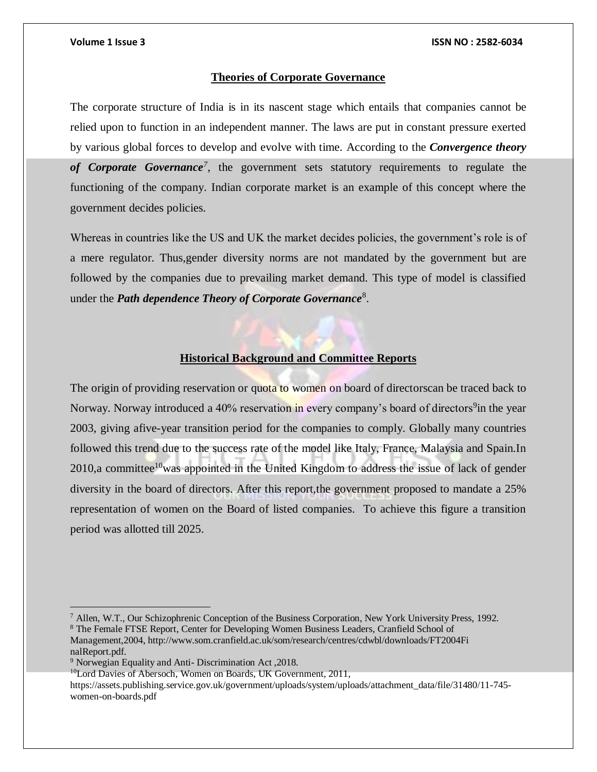#### **Volume 1 Issue 3 ISSN NO : 2582-6034**

#### **Theories of Corporate Governance**

The corporate structure of India is in its nascent stage which entails that companies cannot be relied upon to function in an independent manner. The laws are put in constant pressure exerted by various global forces to develop and evolve with time. According to the *Convergence theory of Corporate Governance<sup>7</sup>* , the government sets statutory requirements to regulate the functioning of the company. Indian corporate market is an example of this concept where the government decides policies.

Whereas in countries like the US and UK the market decides policies, the government's role is of a mere regulator. Thus,gender diversity norms are not mandated by the government but are followed by the companies due to prevailing market demand. This type of model is classified under the *Path dependence Theory of Corporate Governance*<sup>8</sup>.

#### **Historical Background and Committee Reports**

The origin of providing reservation or quota to women on board of directorscan be traced back to Norway. Norway introduced a 40% reservation in every company's board of directors<sup>9</sup>in the year 2003, giving afive-year transition period for the companies to comply. Globally many countries followed this trend due to the success rate of the model like Italy, France, Malaysia and Spain.In 2010,a committee<sup>10</sup>was appointed in the United Kingdom to address the issue of lack of gender diversity in the board of directors. After this report,the government proposed to mandate a 25% representation of women on the Board of listed companies. To achieve this figure a transition period was allotted till 2025.

 $^7$  Allen, W.T., Our Schizophrenic Conception of the Business Corporation, New York University Press, 1992. <sup>8</sup> The Female FTSE Report, Center for Developing Women Business Leaders, Cranfield School of Management,2004, http://www.som.cranfield.ac.uk/som/research/centres/cdwbl/downloads/FT2004Fi nalReport.pdf.

 $\overline{a}$ 

<sup>10</sup>Lord Davies of Abersoch, Women on Boards, UK Government, 2011,

https://assets.publishing.service.gov.uk/government/uploads/system/uploads/attachment\_data/file/31480/11-745 women-on-boards.pdf

<sup>9</sup> Norwegian Equality and Anti- Discrimination Act ,2018.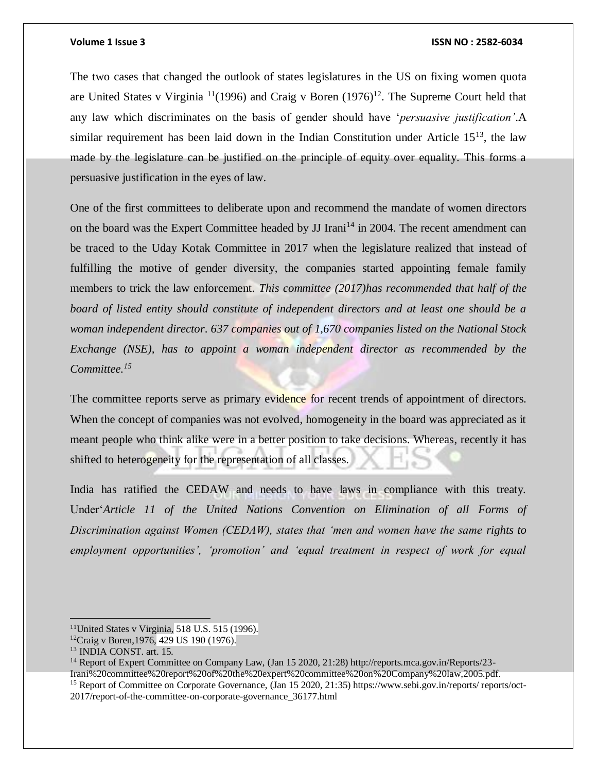#### **Volume 1 Issue 3 ISSN NO : 2582-6034**

The two cases that changed the outlook of states legislatures in the US on fixing women quota are United States v Virginia  $\frac{11}{1996}$  and Craig v Boren  $(1976)^{12}$ . The Supreme Court held that any law which discriminates on the basis of gender should have '*persuasive justification'*.A similar requirement has been laid down in the Indian Constitution under Article  $15^{13}$ , the law made by the legislature can be justified on the principle of equity over equality. This forms a persuasive justification in the eyes of law.

One of the first committees to deliberate upon and recommend the mandate of women directors on the board was the Expert Committee headed by JJ Irani<sup>14</sup> in 2004. The recent amendment can be traced to the Uday Kotak Committee in 2017 when the legislature realized that instead of fulfilling the motive of gender diversity, the companies started appointing female family members to trick the law enforcement. *This committee (2017)has recommended that half of the board of listed entity should constitute of independent directors and at least one should be a woman independent director*. *637 companies out of 1,670 companies listed on the National Stock Exchange (NSE), has to appoint a woman independent director as recommended by the Committee. 15*

The committee reports serve as primary evidence for recent trends of appointment of directors. When the concept of companies was not evolved, homogeneity in the board was appreciated as it meant people who think alike were in a better position to take decisions. Whereas, recently it has shifted to heterogeneity for the representation of all classes.

India has ratified the CEDAW and needs to have laws in compliance with this treaty. Under'*Article 11 of the United Nations Convention on Elimination of all Forms of Discrimination against Women (CEDAW), states that 'men and women have the same rights to employment opportunities', 'promotion' and 'equal treatment in respect of work for equal* 

 $\overline{a}$ 

<sup>14</sup> Report of Expert Committee on Company Law, (Jan 15 2020, 21:28) http://reports.mca.gov.in/Reports/23-

<sup>&</sup>lt;sup>11</sup>United States v Virginia, 518 U.S. 515 (1996).

<sup>&</sup>lt;sup>12</sup>Craig v Boren, 1976, 429 US 190 (1976).

<sup>13</sup> INDIA CONST. art. 15.

Irani%20committee%20report%20of%20the%20expert%20committee%20on%20Company%20law,2005.pdf.

<sup>15</sup> Report of Committee on Corporate Governance, (Jan 15 2020, 21:35) https://www.sebi.gov.in/reports/ reports/oct-2017/report-of-the-committee-on-corporate-governance\_36177.html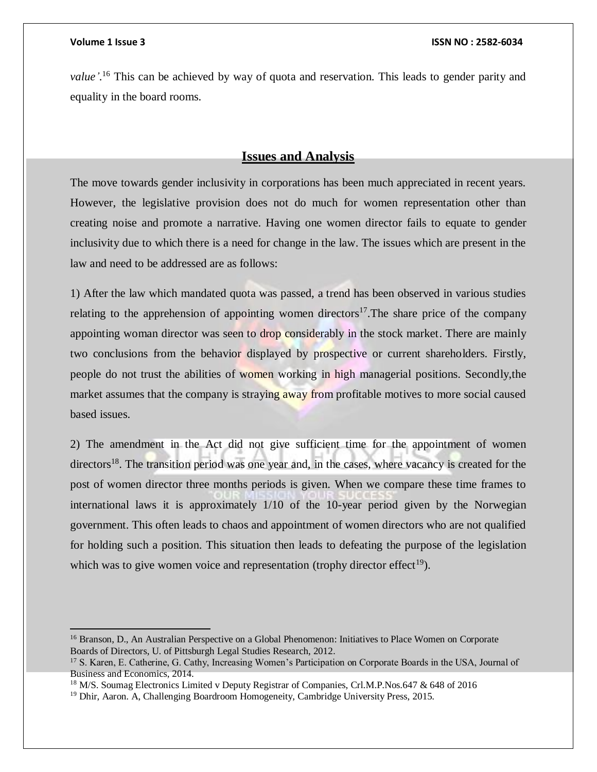*value'.* <sup>16</sup> This can be achieved by way of quota and reservation. This leads to gender parity and equality in the board rooms.

### **Issues and Analysis**

The move towards gender inclusivity in corporations has been much appreciated in recent years. However, the legislative provision does not do much for women representation other than creating noise and promote a narrative. Having one women director fails to equate to gender inclusivity due to which there is a need for change in the law. The issues which are present in the law and need to be addressed are as follows:

1) After the law which mandated quota was passed, a trend has been observed in various studies relating to the apprehension of appointing women directors<sup>17</sup>. The share price of the company appointing woman director was seen to drop considerably in the stock market. There are mainly two conclusions from the behavior displayed by prospective or current shareholders. Firstly, people do not trust the abilities of women working in high managerial positions. Secondly,the market assumes that the company is straying away from profitable motives to more social caused based issues.

2) The amendment in the Act did not give sufficient time for the appointment of women directors<sup>18</sup>. The transition period was one year and, in the cases, where vacancy is created for the post of women director three months periods is given. When we compare these time frames to international laws it is approximately 1/10 of the 10-year period given by the Norwegian government. This often leads to chaos and appointment of women directors who are not qualified for holding such a position. This situation then leads to defeating the purpose of the legislation which was to give women voice and representation (trophy director effect<sup>19</sup>).

<sup>&</sup>lt;sup>16</sup> Branson, D., An Australian Perspective on a Global Phenomenon: Initiatives to Place Women on Corporate Boards of Directors, U. of Pittsburgh Legal Studies Research, 2012.

<sup>&</sup>lt;sup>17</sup> S. Karen, E. Catherine, G. Cathy, Increasing Women's Participation on Corporate Boards in the USA, Journal of Business and Economics, 2014.

<sup>&</sup>lt;sup>18</sup> M/S. Soumag Electronics Limited v Deputy Registrar of Companies, Crl.M.P.Nos.647 & 648 of 2016

<sup>&</sup>lt;sup>19</sup> Dhir, Aaron. A, Challenging Boardroom Homogeneity, Cambridge University Press, 2015.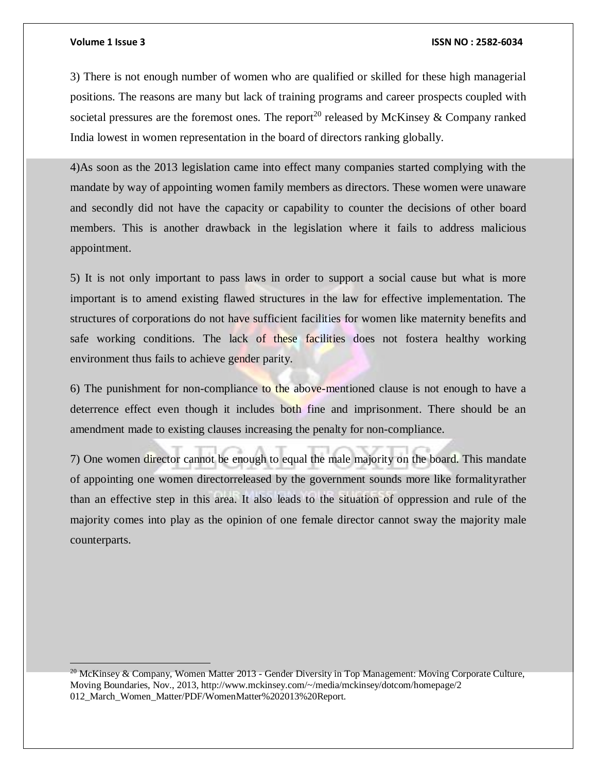#### **Volume 1 Issue 3 ISSN NO : 2582-6034**

3) There is not enough number of women who are qualified or skilled for these high managerial positions. The reasons are many but lack of training programs and career prospects coupled with societal pressures are the foremost ones. The report<sup>20</sup> released by McKinsey & Company ranked India lowest in women representation in the board of directors ranking globally.

4)As soon as the 2013 legislation came into effect many companies started complying with the mandate by way of appointing women family members as directors. These women were unaware and secondly did not have the capacity or capability to counter the decisions of other board members. This is another drawback in the legislation where it fails to address malicious appointment.

5) It is not only important to pass laws in order to support a social cause but what is more important is to amend existing flawed structures in the law for effective implementation. The structures of corporations do not have sufficient facilities for women like maternity benefits and safe working conditions. The lack of these facilities does not fostera healthy working environment thus fails to achieve gender parity.

6) The punishment for non-compliance to the above-mentioned clause is not enough to have a deterrence effect even though it includes both fine and imprisonment. There should be an amendment made to existing clauses increasing the penalty for non-compliance.

7) One women director cannot be enough to equal the male majority on the board. This mandate of appointing one women directorreleased by the government sounds more like formalityrather than an effective step in this area. It also leads to the situation of oppression and rule of the majority comes into play as the opinion of one female director cannot sway the majority male counterparts.

<sup>&</sup>lt;sup>20</sup> McKinsey & Company, Women Matter 2013 - Gender Diversity in Top Management: Moving Corporate Culture, Moving Boundaries, Nov., 2013, http://www.mckinsey.com/~/media/mckinsey/dotcom/homepage/2 012\_March\_Women\_Matter/PDF/WomenMatter%202013%20Report.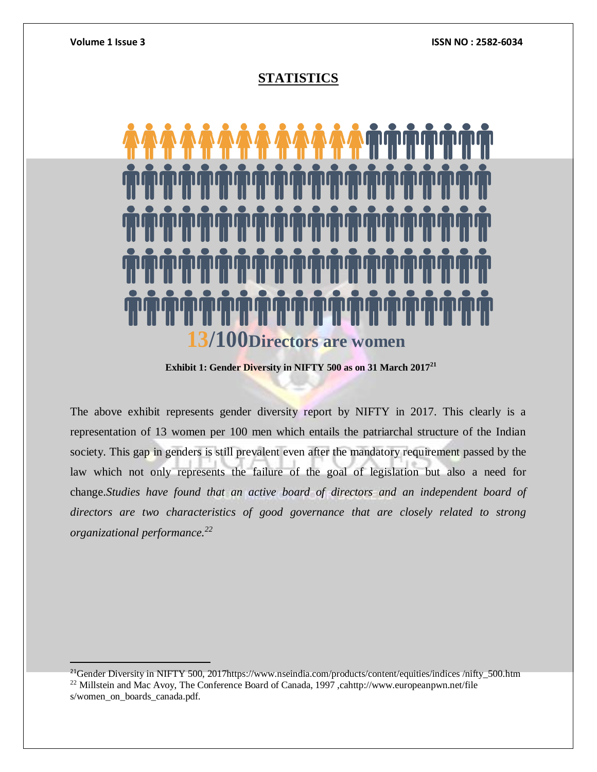## **STATISTICS**



**Exhibit 1: Gender Diversity in NIFTY 500 as on 31 March 2017<sup>21</sup>**

The above exhibit represents gender diversity report by NIFTY in 2017. This clearly is a representation of 13 women per 100 men which entails the patriarchal structure of the Indian society. This gap in genders is still prevalent even after the mandatory requirement passed by the law which not only represents the failure of the goal of legislation but also a need for change.*Studies have found that an active board of directors and an independent board of directors are two characteristics of good governance that are closely related to strong organizational performance.<sup>22</sup>*

<sup>&</sup>lt;sup>21</sup>Gender Diversity in NIFTY 500, 2017https://www.nseindia.com/products/content/equities/indices /nifty\_500.htm <sup>22</sup> Millstein and Mac Avoy, The Conference Board of Canada, 1997 ,cahttp://www.europeanpwn.net/file s/women\_on\_boards\_canada.pdf.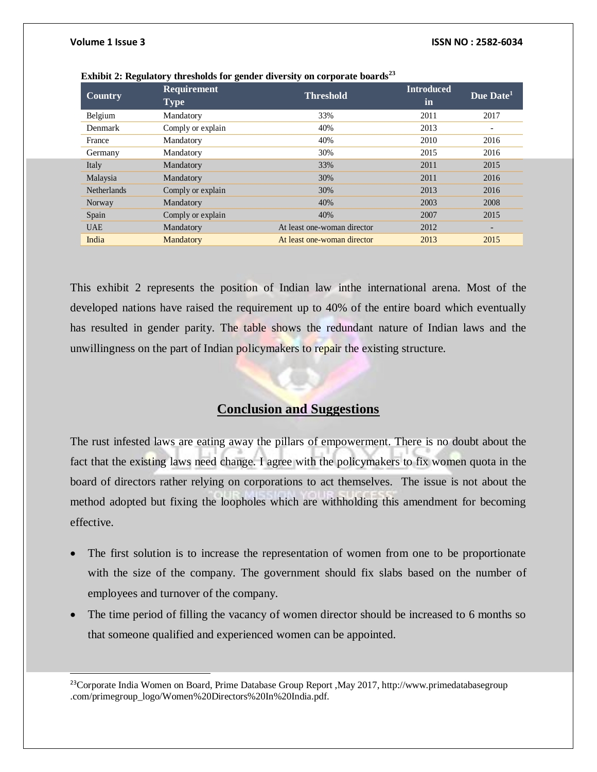l

| Country            | <b>Requirement</b><br><b>Type</b> | <b>Threshold</b>            | <b>Introduced</b><br>in | Due Date <sup>1</sup>    |
|--------------------|-----------------------------------|-----------------------------|-------------------------|--------------------------|
| Belgium            | Mandatory                         | 33%                         | 2011                    | 2017                     |
| Denmark            | Comply or explain                 | 40%                         | 2013                    | $\overline{\phantom{a}}$ |
| France             | Mandatory                         | 40%                         | 2010                    | 2016                     |
| Germany            | Mandatory                         | 30%                         | 2015                    | 2016                     |
| Italy              | Mandatory                         | 33%                         | 2011                    | 2015                     |
| Malaysia           | Mandatory                         | 30%                         | 2011                    | 2016                     |
| <b>Netherlands</b> | Comply or explain                 | 30%                         | 2013                    | 2016                     |
| Norway             | Mandatory                         | 40%                         | 2003                    | 2008                     |
| Spain              | Comply or explain                 | 40%                         | 2007                    | 2015                     |
| <b>UAE</b>         | Mandatory                         | At least one-woman director | 2012                    | $\overline{\phantom{a}}$ |
| India              | Mandatory                         | At least one-woman director | 2013                    | 2015                     |

|  | Exhibit 2: Regulatory thresholds for gender diversity on corporate boards <sup>23</sup> |  |  |  |
|--|-----------------------------------------------------------------------------------------|--|--|--|
|--|-----------------------------------------------------------------------------------------|--|--|--|

This exhibit 2 represents the position of Indian law inthe international arena. Most of the developed nations have raised the requirement up to 40% of the entire board which eventually has resulted in gender parity. The table shows the redundant nature of Indian laws and the unwillingness on the part of Indian policymakers to repair the existing structure.

## **Conclusion and Suggestions**

The rust infested laws are eating away the pillars of empowerment. There is no doubt about the fact that the existing laws need change. I agree with the policymakers to fix women quota in the board of directors rather relying on corporations to act themselves. The issue is not about the method adopted but fixing the loopholes which are withholding this amendment for becoming effective.

- The first solution is to increase the representation of women from one to be proportionate with the size of the company. The government should fix slabs based on the number of employees and turnover of the company.
- The time period of filling the vacancy of women director should be increased to 6 months so that someone qualified and experienced women can be appointed.

<sup>23</sup>Corporate India Women on Board, Prime Database Group Report, May 2017, http://www.primedatabasegroup .com/primegroup\_logo/Women%20Directors%20In%20India.pdf.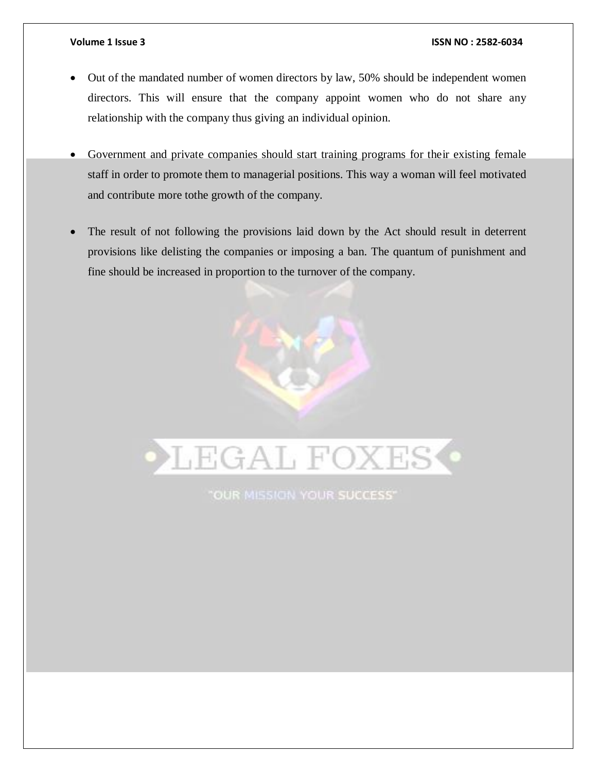#### **Volume 1 Issue 3 ISSN NO : 2582-6034**

- Out of the mandated number of women directors by law, 50% should be independent women directors. This will ensure that the company appoint women who do not share any relationship with the company thus giving an individual opinion.
- Government and private companies should start training programs for their existing female staff in order to promote them to managerial positions. This way a woman will feel motivated and contribute more tothe growth of the company.
- The result of not following the provisions laid down by the Act should result in deterrent provisions like delisting the companies or imposing a ban. The quantum of punishment and fine should be increased in proportion to the turnover of the company.

LEGAL FOXES

"OUR MISSION YOUR SUCCESS"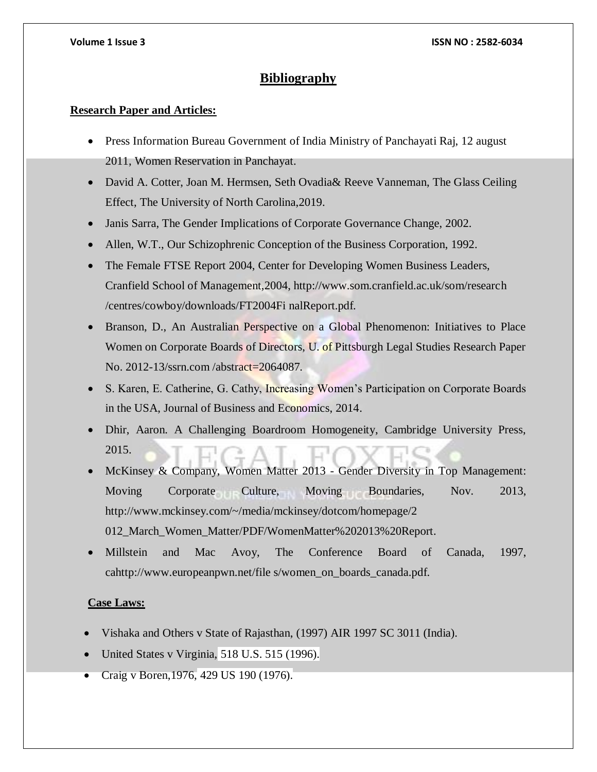## **Bibliography**

#### **Research Paper and Articles:**

- Press Information Bureau Government of India Ministry of Panchayati Raj, 12 august 2011, Women Reservation in Panchayat.
- David A. Cotter, Joan M. Hermsen, Seth Ovadia& Reeve Vanneman, The Glass Ceiling Effect, The University of North Carolina,2019.
- Janis Sarra, The Gender Implications of Corporate Governance Change, 2002.
- Allen, W.T., Our Schizophrenic Conception of the Business Corporation, 1992.
- The Female FTSE Report 2004, Center for Developing Women Business Leaders, Cranfield School of Management,2004, http://www.som.cranfield.ac.uk/som/research /centres/cowboy/downloads/FT2004Fi nalReport.pdf.
- Branson, D., An Australian Perspective on a Global Phenomenon: Initiatives to Place Women on Corporate Boards of Directors, U. of Pittsburgh Legal Studies Research Paper No. 2012-13/ssrn.com /abstract=2064087.
- S. Karen, E. Catherine, G. Cathy, Increasing Women's Participation on Corporate Boards in the USA, Journal of Business and Economics, 2014.
- Dhir, Aaron. A Challenging Boardroom Homogeneity, Cambridge University Press, 2015.
- McKinsey & Company, Women Matter 2013 Gender Diversity in Top Management: Moving Corporate Culture, Moving Boundaries, Nov. 2013, http://www.mckinsey.com/~/media/mckinsey/dotcom/homepage/2 012\_March\_Women\_Matter/PDF/WomenMatter%202013%20Report.
- Millstein and Mac Avoy, The Conference Board of Canada, 1997, cahttp://www.europeanpwn.net/file s/women\_on\_boards\_canada.pdf.

#### **Case Laws:**

- Vishaka and Others v State of Rajasthan, (1997) AIR 1997 SC 3011 (India).
- United States v Virginia, 518 U.S. 515 (1996).
- Craig v Boren,1976, 429 US 190 (1976).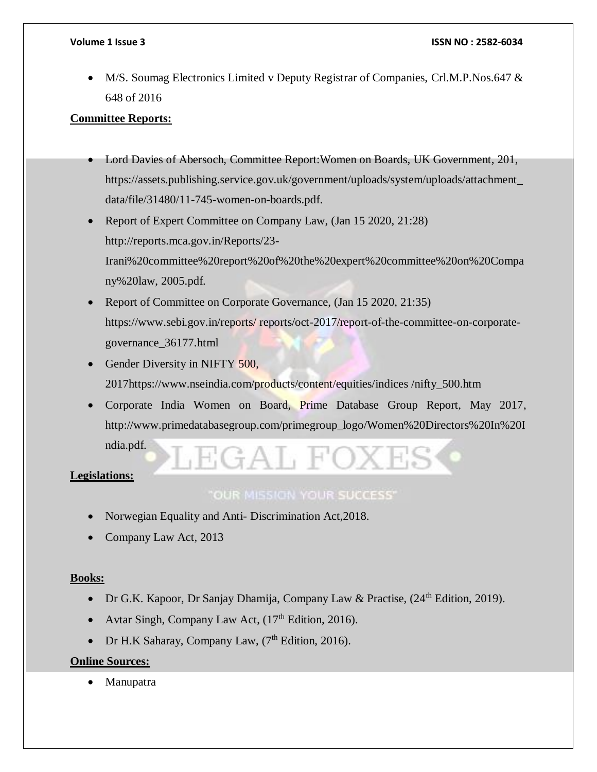• M/S. Soumag Electronics Limited v Deputy Registrar of Companies, Crl.M.P.Nos.647 & 648 of 2016

#### **Committee Reports:**

- Lord Davies of Abersoch, Committee Report:Women on Boards, UK Government, 201, https://assets.publishing.service.gov.uk/government/uploads/system/uploads/attachment\_ data/file/31480/11-745-women-on-boards.pdf.
- Report of Expert Committee on Company Law, (Jan 15 2020, 21:28) http://reports.mca.gov.in/Reports/23- Irani%20committee%20report%20of%20the%20expert%20committee%20on%20Compa ny%20law, 2005.pdf.
- Report of Committee on Corporate Governance, (Jan 15 2020, 21:35) https://www.sebi.gov.in/reports/ reports/oct-2017/report-of-the-committee-on-corporategovernance\_36177.html
- Gender Diversity in NIFTY 500, 2017https://www.nseindia.com/products/content/equities/indices /nifty\_500.htm
- Corporate India Women on Board, Prime Database Group Report, May 2017, http://www.primedatabasegroup.com/primegroup\_logo/Women%20Directors%20In%20I ndia.pdf.  $\frac{1}{4}$ A  $\left| \cdot \right|$   $\left| \cdot \right|$

#### **Legislations:**

#### "OUR MISSION YOUR SUCCESS"

- Norwegian Equality and Anti-Discrimination Act, 2018.
- Company Law Act, 2013

#### **Books:**

- Dr G.K. Kapoor, Dr Sanjay Dhamija, Company Law & Practise, (24<sup>th</sup> Edition, 2019).
- Avtar Singh, Company Law Act,  $(17<sup>th</sup> Edition, 2016)$ .
- Dr H.K Saharay, Company Law,  $(7<sup>th</sup> Edition, 2016)$ .

#### **Online Sources:**

Manupatra